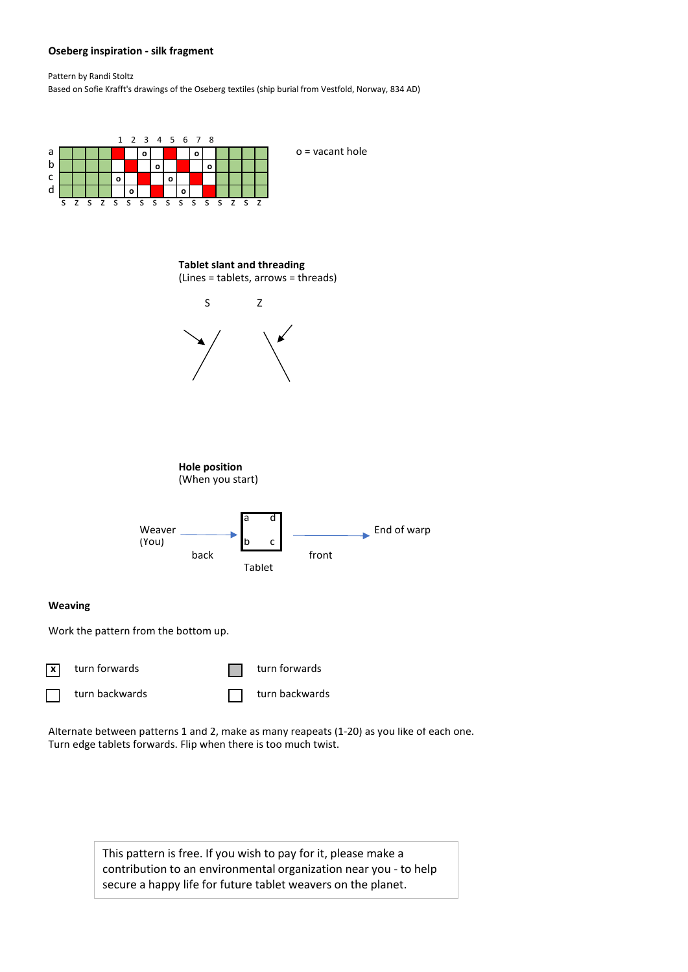## **Oseberg inspiration - silk fragment**

Pattern by Randi Stoltz Based on Sofie Krafft's drawings of the Oseberg textiles (ship burial from Vestfold, Norway, 834 AD)





Alternate between patterns 1 and 2, make as many reapeats (1-20) as you like of each one. Turn edge tablets forwards. Flip when there is too much twist.

> This pattern is free. If you wish to pay for it, please make a contribution to an environmental organization near you - to help secure a happy life for future tablet weavers on the planet.